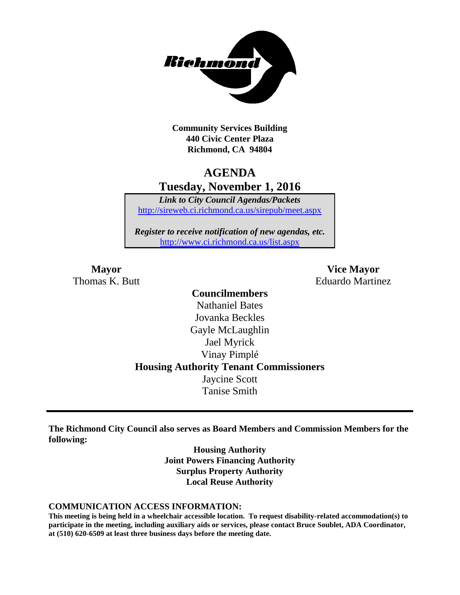

**Community Services Building 440 Civic Center Plaza Richmond, CA 94804**

# **AGENDA Tuesday, November 1, 2016**

*Link to City Council Agendas/Packets* <http://sireweb.ci.richmond.ca.us/sirepub/meet.aspx>

*Register to receive notification of new agendas, etc.* <http://www.ci.richmond.ca.us/list.aspx>

**Mayor Vice Mayor** Thomas K. Butt **Eduardo Martinez** 

### **Councilmembers** Nathaniel Bates Jovanka Beckles Gayle McLaughlin Jael Myrick Vinay Pimplé **Housing Authority Tenant Commissioners** Jaycine Scott Tanise Smith

**The Richmond City Council also serves as Board Members and Commission Members for the following:**

> **Housing Authority Joint Powers Financing Authority Surplus Property Authority Local Reuse Authority**

#### **COMMUNICATION ACCESS INFORMATION:**

**This meeting is being held in a wheelchair accessible location. To request disability-related accommodation(s) to participate in the meeting, including auxiliary aids or services, please contact Bruce Soublet, ADA Coordinator, at (510) 620-6509 at least three business days before the meeting date.**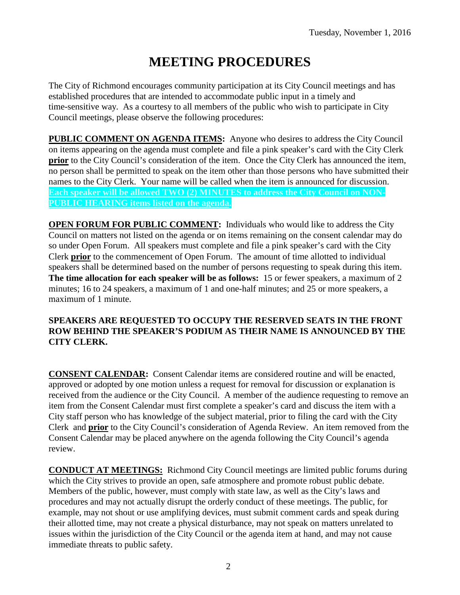# **MEETING PROCEDURES**

The City of Richmond encourages community participation at its City Council meetings and has established procedures that are intended to accommodate public input in a timely and time-sensitive way. As a courtesy to all members of the public who wish to participate in City Council meetings, please observe the following procedures:

**PUBLIC COMMENT ON AGENDA ITEMS:** Anyone who desires to address the City Council on items appearing on the agenda must complete and file a pink speaker's card with the City Clerk **prior** to the City Council's consideration of the item. Once the City Clerk has announced the item, no person shall be permitted to speak on the item other than those persons who have submitted their names to the City Clerk. Your name will be called when the item is announced for discussion. **Each speaker will be allowed TWO (2) MINUTES to address the City Council on NON-PUBLIC HEARING items listed on the agenda.**

**OPEN FORUM FOR PUBLIC COMMENT:** Individuals who would like to address the City Council on matters not listed on the agenda or on items remaining on the consent calendar may do so under Open Forum. All speakers must complete and file a pink speaker's card with the City Clerk **prior** to the commencement of Open Forum. The amount of time allotted to individual speakers shall be determined based on the number of persons requesting to speak during this item. **The time allocation for each speaker will be as follows:** 15 or fewer speakers, a maximum of 2 minutes; 16 to 24 speakers, a maximum of 1 and one-half minutes; and 25 or more speakers, a maximum of 1 minute.

### **SPEAKERS ARE REQUESTED TO OCCUPY THE RESERVED SEATS IN THE FRONT ROW BEHIND THE SPEAKER'S PODIUM AS THEIR NAME IS ANNOUNCED BY THE CITY CLERK.**

**CONSENT CALENDAR:** Consent Calendar items are considered routine and will be enacted, approved or adopted by one motion unless a request for removal for discussion or explanation is received from the audience or the City Council. A member of the audience requesting to remove an item from the Consent Calendar must first complete a speaker's card and discuss the item with a City staff person who has knowledge of the subject material, prior to filing the card with the City Clerk and **prior** to the City Council's consideration of Agenda Review. An item removed from the Consent Calendar may be placed anywhere on the agenda following the City Council's agenda review.

**CONDUCT AT MEETINGS:** Richmond City Council meetings are limited public forums during which the City strives to provide an open, safe atmosphere and promote robust public debate. Members of the public, however, must comply with state law, as well as the City's laws and procedures and may not actually disrupt the orderly conduct of these meetings. The public, for example, may not shout or use amplifying devices, must submit comment cards and speak during their allotted time, may not create a physical disturbance, may not speak on matters unrelated to issues within the jurisdiction of the City Council or the agenda item at hand, and may not cause immediate threats to public safety.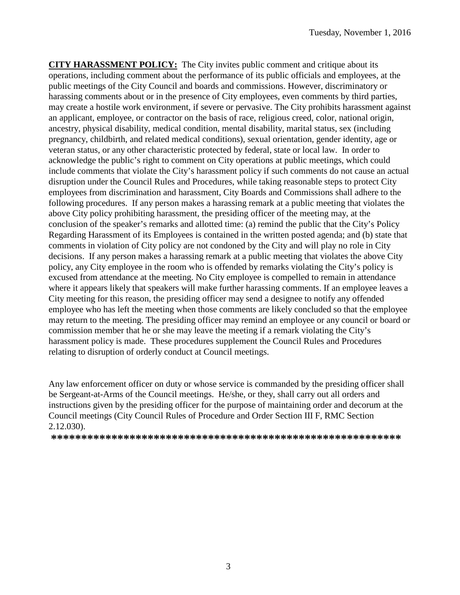**CITY HARASSMENT POLICY:** The City invites public comment and critique about its operations, including comment about the performance of its public officials and employees, at the public meetings of the City Council and boards and commissions. However, discriminatory or harassing comments about or in the presence of City employees, even comments by third parties, may create a hostile work environment, if severe or pervasive. The City prohibits harassment against an applicant, employee, or contractor on the basis of race, religious creed, color, national origin, ancestry, physical disability, medical condition, mental disability, marital status, sex (including pregnancy, childbirth, and related medical conditions), sexual orientation, gender identity, age or veteran status, or any other characteristic protected by federal, state or local law. In order to acknowledge the public's right to comment on City operations at public meetings, which could include comments that violate the City's harassment policy if such comments do not cause an actual disruption under the Council Rules and Procedures, while taking reasonable steps to protect City employees from discrimination and harassment, City Boards and Commissions shall adhere to the following procedures. If any person makes a harassing remark at a public meeting that violates the above City policy prohibiting harassment, the presiding officer of the meeting may, at the conclusion of the speaker's remarks and allotted time: (a) remind the public that the City's Policy Regarding Harassment of its Employees is contained in the written posted agenda; and (b) state that comments in violation of City policy are not condoned by the City and will play no role in City decisions. If any person makes a harassing remark at a public meeting that violates the above City policy, any City employee in the room who is offended by remarks violating the City's policy is excused from attendance at the meeting. No City employee is compelled to remain in attendance where it appears likely that speakers will make further harassing comments. If an employee leaves a City meeting for this reason, the presiding officer may send a designee to notify any offended employee who has left the meeting when those comments are likely concluded so that the employee may return to the meeting. The presiding officer may remind an employee or any council or board or commission member that he or she may leave the meeting if a remark violating the City's harassment policy is made. These procedures supplement the Council Rules and Procedures relating to disruption of orderly conduct at Council meetings.

Any law enforcement officer on duty or whose service is commanded by the presiding officer shall be Sergeant-at-Arms of the Council meetings. He/she, or they, shall carry out all orders and instructions given by the presiding officer for the purpose of maintaining order and decorum at the Council meetings (City Council Rules of Procedure and Order Section III F, RMC Section 2.12.030).

**\*\*\*\*\*\*\*\*\*\*\*\*\*\*\*\*\*\*\*\*\*\*\*\*\*\*\*\*\*\*\*\*\*\*\*\*\*\*\*\*\*\*\*\*\*\*\*\*\*\*\*\*\*\*\*\*\*\***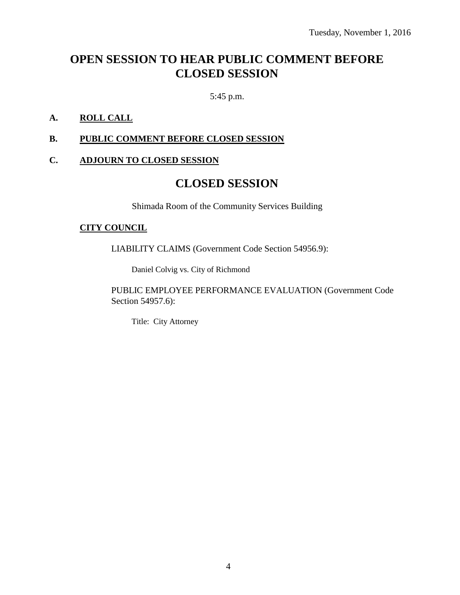# **OPEN SESSION TO HEAR PUBLIC COMMENT BEFORE CLOSED SESSION**

5:45 p.m.

### **A. ROLL CALL**

### **B. PUBLIC COMMENT BEFORE CLOSED SESSION**

### **C. ADJOURN TO CLOSED SESSION**

### **CLOSED SESSION**

Shimada Room of the Community Services Building

#### **CITY COUNCIL**

LIABILITY CLAIMS (Government Code Section 54956.9):

Daniel Colvig vs. City of Richmond

PUBLIC EMPLOYEE PERFORMANCE EVALUATION (Government Code Section 54957.6):

Title: City Attorney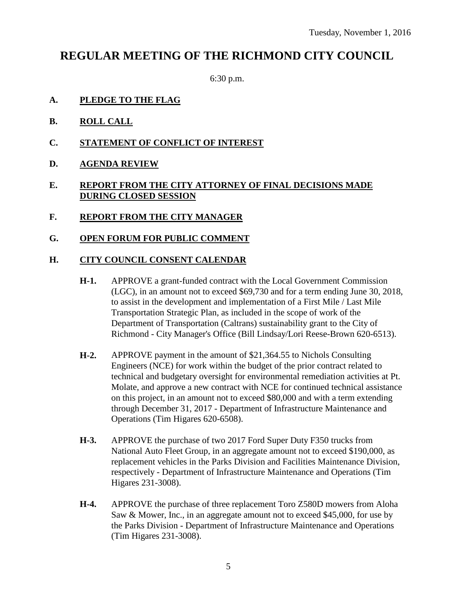## **REGULAR MEETING OF THE RICHMOND CITY COUNCIL**

6:30 p.m.

- **A. PLEDGE TO THE FLAG**
- **B. ROLL CALL**
- **C. STATEMENT OF CONFLICT OF INTEREST**
- **D. AGENDA REVIEW**

### **E. REPORT FROM THE CITY ATTORNEY OF FINAL DECISIONS MADE DURING CLOSED SESSION**

- **F. REPORT FROM THE CITY MANAGER**
- **G. OPEN FORUM FOR PUBLIC COMMENT**

#### **H. CITY COUNCIL CONSENT CALENDAR**

- **H-1.** APPROVE a grant-funded contract with the Local Government Commission (LGC), in an amount not to exceed \$69,730 and for a term ending June 30, 2018, to assist in the development and implementation of a First Mile / Last Mile Transportation Strategic Plan, as included in the scope of work of the Department of Transportation (Caltrans) sustainability grant to the City of Richmond - City Manager's Office (Bill Lindsay/Lori Reese-Brown 620-6513).
- **H-2.** APPROVE payment in the amount of \$21,364.55 to Nichols Consulting Engineers (NCE) for work within the budget of the prior contract related to technical and budgetary oversight for environmental remediation activities at Pt. Molate, and approve a new contract with NCE for continued technical assistance on this project, in an amount not to exceed \$80,000 and with a term extending through December 31, 2017 - Department of Infrastructure Maintenance and Operations (Tim Higares 620-6508).
- **H-3.** APPROVE the purchase of two 2017 Ford Super Duty F350 trucks from National Auto Fleet Group, in an aggregate amount not to exceed \$190,000, as replacement vehicles in the Parks Division and Facilities Maintenance Division, respectively - Department of Infrastructure Maintenance and Operations (Tim Higares 231-3008).
- **H-4.** APPROVE the purchase of three replacement Toro Z580D mowers from Aloha Saw & Mower, Inc., in an aggregate amount not to exceed \$45,000, for use by the Parks Division - Department of Infrastructure Maintenance and Operations (Tim Higares 231-3008).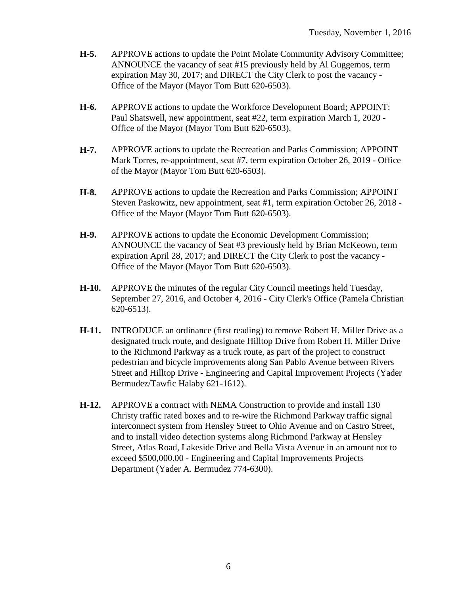- **H-5.** APPROVE actions to update the Point Molate Community Advisory Committee; ANNOUNCE the vacancy of seat #15 previously held by Al Guggemos, term expiration May 30, 2017; and DIRECT the City Clerk to post the vacancy - Office of the Mayor (Mayor Tom Butt 620-6503).
- **H-6.** APPROVE actions to update the Workforce Development Board; APPOINT: Paul Shatswell, new appointment, seat #22, term expiration March 1, 2020 - Office of the Mayor (Mayor Tom Butt 620-6503).
- **H-7.** APPROVE actions to update the Recreation and Parks Commission; APPOINT Mark Torres, re-appointment, seat #7, term expiration October 26, 2019 - Office of the Mayor (Mayor Tom Butt 620-6503).
- **H-8.** APPROVE actions to update the Recreation and Parks Commission; APPOINT Steven Paskowitz, new appointment, seat #1, term expiration October 26, 2018 - Office of the Mayor (Mayor Tom Butt 620-6503).
- **H-9.** APPROVE actions to update the Economic Development Commission; ANNOUNCE the vacancy of Seat #3 previously held by Brian McKeown, term expiration April 28, 2017; and DIRECT the City Clerk to post the vacancy - Office of the Mayor (Mayor Tom Butt 620-6503).
- **H-10.** APPROVE the minutes of the regular City Council meetings held Tuesday, September 27, 2016, and October 4, 2016 - City Clerk's Office (Pamela Christian 620-6513).
- **H-11.** INTRODUCE an ordinance (first reading) to remove Robert H. Miller Drive as a designated truck route, and designate Hilltop Drive from Robert H. Miller Drive to the Richmond Parkway as a truck route, as part of the project to construct pedestrian and bicycle improvements along San Pablo Avenue between Rivers Street and Hilltop Drive - Engineering and Capital Improvement Projects (Yader Bermudez/Tawfic Halaby 621-1612).
- **H-12.** APPROVE a contract with NEMA Construction to provide and install 130 Christy traffic rated boxes and to re-wire the Richmond Parkway traffic signal interconnect system from Hensley Street to Ohio Avenue and on Castro Street, and to install video detection systems along Richmond Parkway at Hensley Street, Atlas Road, Lakeside Drive and Bella Vista Avenue in an amount not to exceed \$500,000.00 - Engineering and Capital Improvements Projects Department (Yader A. Bermudez 774-6300).